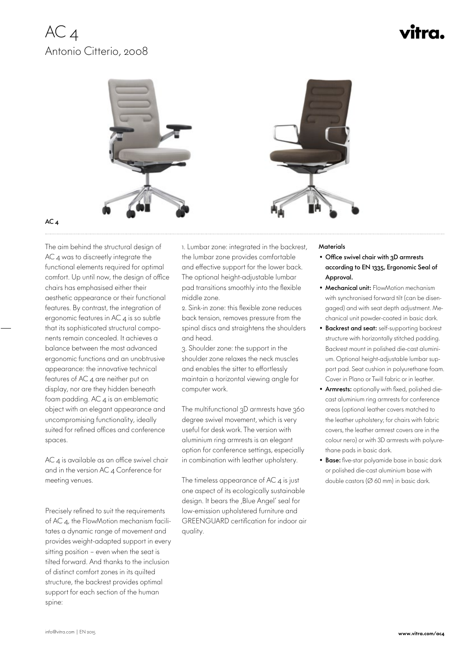## $AC<sub>4</sub>$ Antonio Citterio, 2008

# vitra.



### AC 4

 The aim behind the structural design of AC 4 was to discreetly integrate the functional elements required for optimal comfort. Up until now, the design of office chairs has emphasised either their aesthetic appearance or their functional features. By contrast, the integration of ergonomic features in AC<sub>4</sub> is so subtle that its sophisticated structural components remain concealed. It achieves a balance between the most advanced ergonomic functions and an unobtrusive appearance: the innovative technical features of AC 4 are neither put on display, nor are they hidden beneath foam padding. AC 4 is an emblematic object with an elegant appearance and uncompromising functionality, ideally suited for refined offices and conference spaces.

 $AC$  4 is available as an office swivel chair and in the version AC 4 Conference for meeting venues.

Precisely refined to suit the requirements of AC 4, the FlowMotion mechanism facilitates a dynamic range of movement and provides weight-adapted support in every sitting position – even when the seat is tilted forward. And thanks to the inclusion of distinct comfort zones in its quilted structure, the backrest provides optimal support for each section of the human spine:

1. Lumbar zone: integrated in the backrest, the lumbar zone provides comfortable and effective support for the lower back. The optional height-adjustable lumbar pad transitions smoothly into the flexible middle zone.

2. Sink-in zone: this flexible zone reduces back tension, removes pressure from the spinal discs and straightens the shoulders and head.

3. Shoulder zone: the support in the shoulder zone relaxes the neck muscles and enables the sitter to effortlessly maintain a horizontal viewing angle for computer work.

The multifunctional 3D armrests have 360 degree swivel movement, which is very useful for desk work. The version with aluminium ring armrests is an elegant option for conference settings, especially in combination with leather upholstery.

The timeless appearance of  $AC$   $4$  is just one aspect of its ecologically sustainable design. It bears the ,Blue Angel' seal for low-emission upholstered furniture and GREENGUARD certification for indoor air quality.

#### **Materials**

- Office swivel chair with 3D armrests according to EN 1335, Ergonomic Seal of Approval.
- Mechanical unit: FlowMotion mechanism with synchronised forward tilt (can be disengaged) and with seat depth adjustment. Mechanical unit powder-coated in basic dark.
- Backrest and seat: self-supporting backrest structure with horizontally stitched padding. Backrest mount in polished die-cast aluminium. Optional height-adjustable lumbar support pad. Seat cushion in polyurethane foam. Cover in Plano or Twill fabric or in leather.
- Armrests: optionally with fixed, polished diecast aluminium ring armrests for conference areas (optional leather covers matched to the leather upholstery; for chairs with fabric covers, the leather armrest covers are in the colour nero) or with 3D armrests with polyurethane pads in basic dark.
- Base: five-star polyamide base in basic dark or polished die-cast aluminium base with double castors (Ø 60 mm) in basic dark.